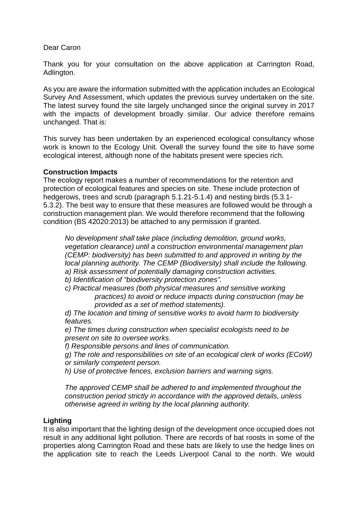## Dear Caron

Thank you for your consultation on the above application at Carrington Road, Adlington.

As you are aware the information submitted with the application includes an Ecological Survey And Assessment, which updates the previous survey undertaken on the site. The latest survey found the site largely unchanged since the original survey in 2017 with the impacts of development broadly similar. Our advice therefore remains unchanged. That is:

This survey has been undertaken by an experienced ecological consultancy whose work is known to the Ecology Unit. Overall the survey found the site to have some ecological interest, although none of the habitats present were species rich.

## **Construction Impacts**

The ecology report makes a number of recommendations for the retention and protection of ecological features and species on site. These include protection of hedgerows, trees and scrub (paragraph 5.1.21-5.1.4) and nesting birds (5.3.1- 5.3.2). The best way to ensure that these measures are followed would be through a construction management plan. We would therefore recommend that the following condition (BS 42020:2013) be attached to any permission if granted.

*No development shall take place (including demolition, ground works, vegetation clearance) until a construction environmental management plan (CEMP: biodiversity) has been submitted to and approved in writing by the local planning authority. The CEMP (Biodiversity) shall include the following. a) Risk assessment of potentially damaging construction activities.*

*b) Identification of "biodiversity protection zones".*

*c) Practical measures (both physical measures and sensitive working practices) to avoid or reduce impacts during construction (may be provided as a set of method statements).*

*d) The location and timing of sensitive works to avoid harm to biodiversity features.*

*e) The times during construction when specialist ecologists need to be present on site to oversee works.*

*f) Responsible persons and lines of communication.*

*g) The role and responsibilities on site of an ecological clerk of works (ECoW) or similarly competent person.*

*h) Use of protective fences, exclusion barriers and warning signs.*

*The approved CEMP shall be adhered to and implemented throughout the construction period strictly in accordance with the approved details, unless otherwise agreed in writing by the local planning authority.*

# **Lighting**

It is also important that the lighting design of the development once occupied does not result in any additional light pollution. There are records of bat roosts in some of the properties along Carrington Road and these bats are likely to use the hedge lines on the application site to reach the Leeds Liverpool Canal to the north. We would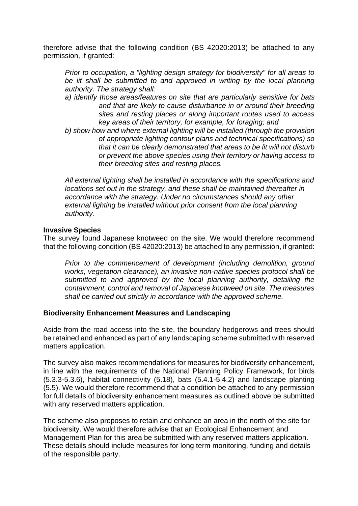therefore advise that the following condition (BS 42020:2013) be attached to any permission, if granted:

*Prior to occupation, a "lighting design strategy for biodiversity" for all areas to*  be lit shall be submitted to and approved in writing by the local planning *authority. The strategy shall:*

- *a) identify those areas/features on site that are particularly sensitive for bats and that are likely to cause disturbance in or around their breeding sites and resting places or along important routes used to access key areas of their territory, for example, for foraging; and*
- *b) show how and where external lighting will be installed (through the provision of appropriate lighting contour plans and technical specifications) so that it can be clearly demonstrated that areas to be lit will not disturb or prevent the above species using their territory or having access to their breeding sites and resting places.*

*All external lighting shall be installed in accordance with the specifications and locations set out in the strategy, and these shall be maintained thereafter in accordance with the strategy. Under no circumstances should any other external lighting be installed without prior consent from the local planning authority.*

## **Invasive Species**

The survey found Japanese knotweed on the site. We would therefore recommend that the following condition (BS 42020:2013) be attached to any permission, if granted:

*Prior to the commencement of development (including demolition, ground works, vegetation clearance), an invasive non-native species protocol shall be submitted to and approved by the local planning authority, detailing the containment, control and removal of Japanese knotweed on site. The measures shall be carried out strictly in accordance with the approved scheme.*

# **Biodiversity Enhancement Measures and Landscaping**

Aside from the road access into the site, the boundary hedgerows and trees should be retained and enhanced as part of any landscaping scheme submitted with reserved matters application.

The survey also makes recommendations for measures for biodiversity enhancement, in line with the requirements of the National Planning Policy Framework, for birds (5.3.3-5.3.6), habitat connectivity (5.18), bats (5.4.1-5.4.2) and landscape planting (5.5). We would therefore recommend that a condition be attached to any permission for full details of biodiversity enhancement measures as outlined above be submitted with any reserved matters application.

The scheme also proposes to retain and enhance an area in the north of the site for biodiversity. We would therefore advise that an Ecological Enhancement and Management Plan for this area be submitted with any reserved matters application. These details should include measures for long term monitoring, funding and details of the responsible party.